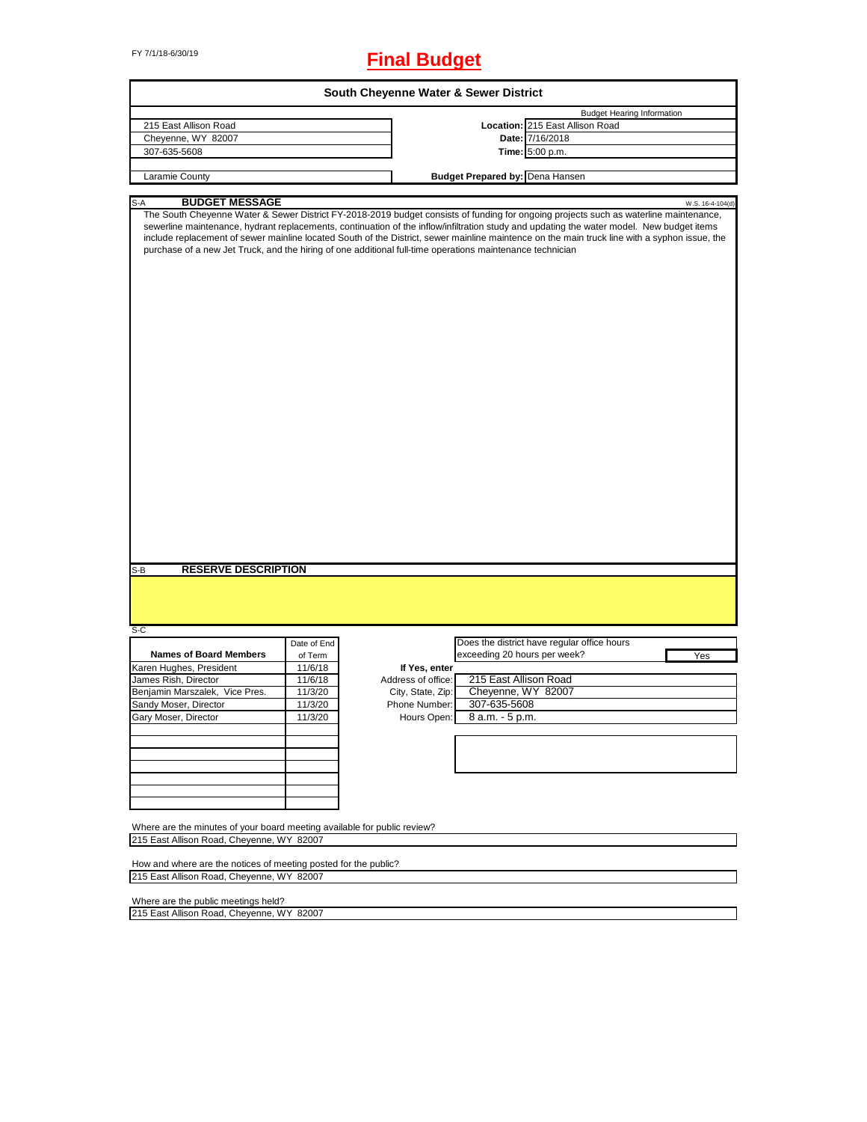# FY 7/1/18-6/30/19 **Final Budget**

|                                                                                                                                                  |             | South Cheyenne Water & Sewer District |                                                                                                                                                                                                                                                                                                                                                                                                                                     |                  |
|--------------------------------------------------------------------------------------------------------------------------------------------------|-------------|---------------------------------------|-------------------------------------------------------------------------------------------------------------------------------------------------------------------------------------------------------------------------------------------------------------------------------------------------------------------------------------------------------------------------------------------------------------------------------------|------------------|
|                                                                                                                                                  |             |                                       | <b>Budget Hearing Information</b>                                                                                                                                                                                                                                                                                                                                                                                                   |                  |
| 215 East Allison Road                                                                                                                            |             |                                       | Location: 215 East Allison Road                                                                                                                                                                                                                                                                                                                                                                                                     |                  |
| Cheyenne, WY 82007                                                                                                                               |             |                                       | Date: 7/16/2018                                                                                                                                                                                                                                                                                                                                                                                                                     |                  |
| 307-635-5608                                                                                                                                     |             |                                       | Time: 5:00 p.m.                                                                                                                                                                                                                                                                                                                                                                                                                     |                  |
| Laramie County                                                                                                                                   |             |                                       | <b>Budget Prepared by: Dena Hansen</b>                                                                                                                                                                                                                                                                                                                                                                                              |                  |
|                                                                                                                                                  |             |                                       |                                                                                                                                                                                                                                                                                                                                                                                                                                     |                  |
| <b>BUDGET MESSAGE</b><br>S-A                                                                                                                     |             |                                       |                                                                                                                                                                                                                                                                                                                                                                                                                                     | W.S. 16-4-104(d) |
| purchase of a new Jet Truck, and the hiring of one additional full-time operations maintenance technician                                        |             |                                       | The South Cheyenne Water & Sewer District FY-2018-2019 budget consists of funding for ongoing projects such as waterline maintenance,<br>sewerline maintenance, hydrant replacements, continuation of the inflow/infiltration study and updating the water model. New budget items<br>include replacement of sewer mainline located South of the District, sewer mainline maintence on the main truck line with a syphon issue, the |                  |
|                                                                                                                                                  |             |                                       |                                                                                                                                                                                                                                                                                                                                                                                                                                     |                  |
| <b>RESERVE DESCRIPTION</b>                                                                                                                       |             |                                       |                                                                                                                                                                                                                                                                                                                                                                                                                                     |                  |
|                                                                                                                                                  |             |                                       |                                                                                                                                                                                                                                                                                                                                                                                                                                     |                  |
|                                                                                                                                                  | Date of End |                                       | Does the district have regular office hours                                                                                                                                                                                                                                                                                                                                                                                         |                  |
| <b>Names of Board Members</b>                                                                                                                    | of Term     |                                       | exceeding 20 hours per week?                                                                                                                                                                                                                                                                                                                                                                                                        | Yes              |
|                                                                                                                                                  | 11/6/18     | If Yes, enter                         |                                                                                                                                                                                                                                                                                                                                                                                                                                     |                  |
|                                                                                                                                                  | 11/6/18     | Address of office:                    | 215 East Allison Road                                                                                                                                                                                                                                                                                                                                                                                                               |                  |
|                                                                                                                                                  | 11/3/20     | City, State, Zip:                     | Cheyenne, WY 82007                                                                                                                                                                                                                                                                                                                                                                                                                  |                  |
|                                                                                                                                                  | 11/3/20     | Phone Number:                         | 307-635-5608                                                                                                                                                                                                                                                                                                                                                                                                                        |                  |
|                                                                                                                                                  | 11/3/20     | Hours Open:                           | 8 a.m. - 5 p.m.                                                                                                                                                                                                                                                                                                                                                                                                                     |                  |
|                                                                                                                                                  |             |                                       |                                                                                                                                                                                                                                                                                                                                                                                                                                     |                  |
| S-B<br>S-C<br>Karen Hughes, President<br>James Rish, Director<br>Benjamin Marszalek, Vice Pres.<br>Sandy Moser, Director<br>Gary Moser, Director |             |                                       |                                                                                                                                                                                                                                                                                                                                                                                                                                     |                  |
|                                                                                                                                                  |             |                                       |                                                                                                                                                                                                                                                                                                                                                                                                                                     |                  |
|                                                                                                                                                  |             |                                       |                                                                                                                                                                                                                                                                                                                                                                                                                                     |                  |
| Where are the minutes of your board meeting available for public review?<br>215 East Allison Road, Cheyenne, WY 82007                            |             |                                       |                                                                                                                                                                                                                                                                                                                                                                                                                                     |                  |
| How and where are the notices of meeting posted for the public?<br>215 East Allison Road, Cheyenne, WY 82007                                     |             |                                       |                                                                                                                                                                                                                                                                                                                                                                                                                                     |                  |

ד

215 East Allison Road, Cheyenne, WY 82007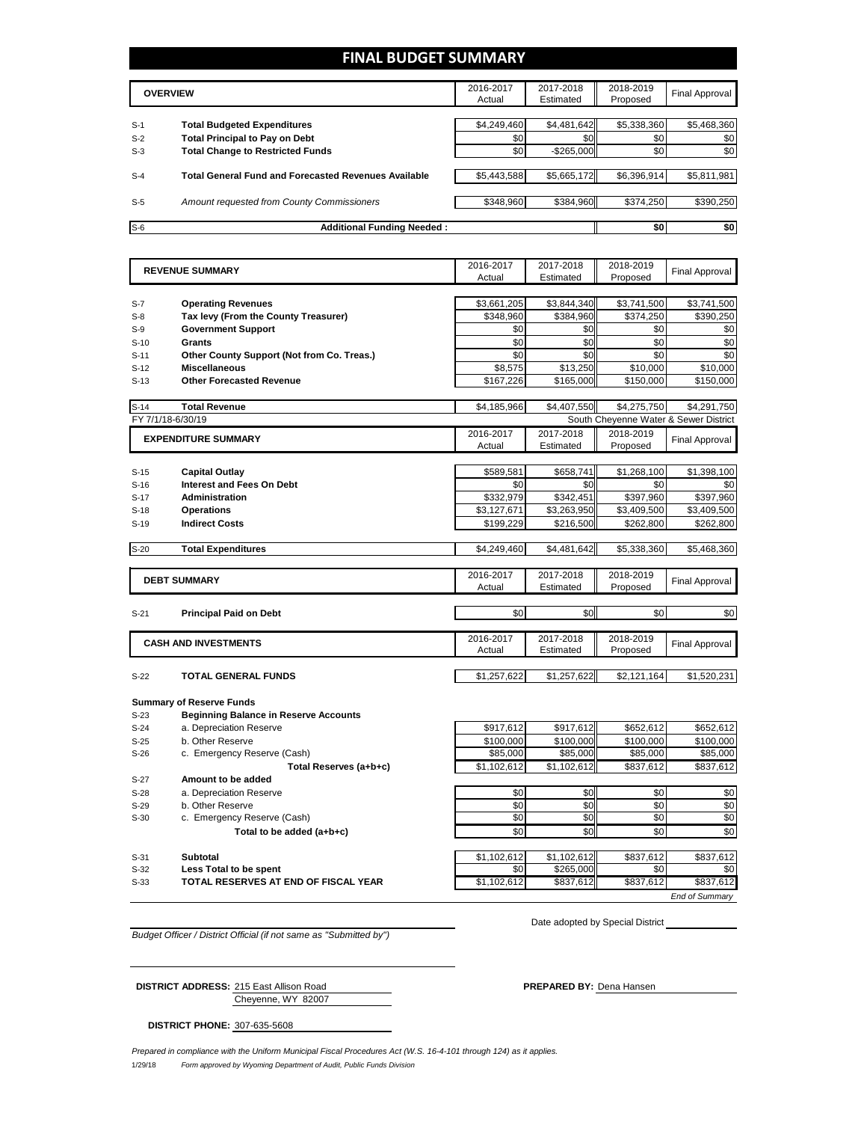## **FINAL BUDGET SUMMARY**

|       | <b>OVERVIEW</b>                                             | 2016-2017<br>Actual | 2017-2018<br>Estimated | 2018-2019<br>Proposed | <b>Final Approval</b> |
|-------|-------------------------------------------------------------|---------------------|------------------------|-----------------------|-----------------------|
|       |                                                             |                     |                        |                       |                       |
| $S-1$ | <b>Total Budgeted Expenditures</b>                          | \$4,249,460         | \$4,481,642            | \$5,338,360           | \$5,468,360           |
| $S-2$ | <b>Total Principal to Pay on Debt</b>                       | \$0                 | \$0                    | \$0                   | \$0                   |
| $S-3$ | <b>Total Change to Restricted Funds</b>                     | \$0                 | $-$ \$265,000          | \$0                   | \$0                   |
|       |                                                             |                     |                        |                       |                       |
| $S-4$ | <b>Total General Fund and Forecasted Revenues Available</b> | \$5,443,588         | \$5,665,172            | \$6,396,914           | \$5,811,981           |
|       |                                                             |                     |                        |                       |                       |
| $S-5$ | Amount requested from County Commissioners                  | \$348.960           | \$384,960              | \$374.250             | \$390,250             |
|       |                                                             |                     |                        |                       |                       |
| $S-6$ | <b>Additional Funding Needed:</b>                           |                     |                        | \$0                   | \$0                   |

|                            | <b>REVENUE SUMMARY</b>                       | 2016-2017           | 2017-2018     | 2018-2019             | <b>Final Approval</b>                 |
|----------------------------|----------------------------------------------|---------------------|---------------|-----------------------|---------------------------------------|
|                            |                                              | Actual              | Estimated     | Proposed              |                                       |
| $S-7$                      | <b>Operating Revenues</b>                    | \$3,661,205         | \$3,844,340   | \$3,741,500           | \$3,741,500                           |
| $S-8$                      | Tax levy (From the County Treasurer)         | \$348,960           | \$384,960     | \$374,250             | \$390,250                             |
| $S-9$                      | <b>Government Support</b>                    | \$0                 | \$0           | \$0                   | \$0                                   |
| $S-10$                     | Grants                                       | \$0                 | \$0           | \$0                   | \$0                                   |
| $S-11$                     | Other County Support (Not from Co. Treas.)   | \$0                 | \$0           | \$0                   | \$0                                   |
| $S-12$                     | <b>Miscellaneous</b>                         | \$8,575             | \$13,250      | \$10,000              | \$10,000                              |
| $S-13$                     | <b>Other Forecasted Revenue</b>              | \$167,226           | \$165,000     | \$150,000             | \$150,000                             |
|                            |                                              |                     |               |                       |                                       |
| $S-14$                     | <b>Total Revenue</b>                         | \$4,185,966         | \$4,407,550   | \$4,275,750           | \$4,291,750                           |
|                            | FY 7/1/18-6/30/19                            |                     |               |                       | South Cheyenne Water & Sewer District |
| <b>EXPENDITURE SUMMARY</b> |                                              | 2016-2017           | 2017-2018     | 2018-2019             |                                       |
|                            |                                              | Actual              | Estimated     | Proposed              | <b>Final Approval</b>                 |
|                            |                                              |                     |               |                       |                                       |
| $S-15$                     | <b>Capital Outlay</b>                        | \$589.581           | \$658.741     | \$1,268,100           | \$1,398,100                           |
| $S-16$                     | <b>Interest and Fees On Debt</b>             | \$0                 | \$0           | \$0                   | \$0                                   |
| $S-17$                     | <b>Administration</b>                        | \$332,979           | \$342,451     | \$397,960             | \$397,960                             |
| $S-18$                     | <b>Operations</b>                            | \$3,127,671         | \$3,263,950   | \$3,409,500           | \$3,409,500                           |
| $S-19$                     | <b>Indirect Costs</b>                        | \$199,229           | \$216,500     | \$262,800             | \$262,800                             |
|                            |                                              |                     |               |                       |                                       |
| $S-20$                     | <b>Total Expenditures</b>                    | \$4,249,460         | \$4,481,642   | \$5,338,360           | \$5,468,360                           |
|                            |                                              |                     |               |                       |                                       |
|                            | <b>DEBT SUMMARY</b>                          | 2016-2017           | 2017-2018     | 2018-2019             | <b>Final Approval</b>                 |
|                            |                                              | Actual              | Estimated     | Proposed              |                                       |
|                            |                                              |                     |               |                       |                                       |
| $S-21$                     | <b>Principal Paid on Debt</b>                | \$0                 | \$0           | \$0                   | \$0                                   |
|                            |                                              |                     | 2017-2018     |                       |                                       |
|                            | <b>CASH AND INVESTMENTS</b>                  | 2016-2017<br>Actual | Estimated     | 2018-2019<br>Proposed | <b>Final Approval</b>                 |
|                            |                                              |                     |               |                       |                                       |
| $S-22$                     | TOTAL GENERAL FUNDS                          | \$1,257,622         | \$1,257,622   | \$2,121,164           | \$1,520,231                           |
|                            |                                              |                     |               |                       |                                       |
|                            | <b>Summary of Reserve Funds</b>              |                     |               |                       |                                       |
| $S-23$                     | <b>Beginning Balance in Reserve Accounts</b> |                     |               |                       |                                       |
| $S-24$                     | a. Depreciation Reserve                      | \$917,612           | \$917,612     | \$652,612             | \$652,612                             |
| $S-25$                     | b. Other Reserve                             | \$100.000           | \$100.000     | \$100.000             | \$100.000                             |
| $S-26$                     | c. Emergency Reserve (Cash)                  | \$85,000            | \$85,000      | \$85,000              | \$85,000                              |
|                            | Total Reserves (a+b+c)                       | \$1,102,612         | \$1,102,612   | \$837,612             | \$837,612                             |
| S-27                       | Amount to be added                           |                     |               |                       |                                       |
| $S-28$                     | a. Depreciation Reserve                      | \$0                 | \$0           | \$0                   | \$0                                   |
| $S-29$                     | b. Other Reserve                             | \$0                 | \$0           | \$0                   | \$0                                   |
| $S-30$                     | c. Emergency Reserve (Cash)                  | \$0                 | \$0           | \$0                   | \$0                                   |
|                            | Total to be added (a⊥b⊥c)                    | ¢η                  | $\frac{2}{3}$ | ¢η                    | $\overline{\mathbf{S}}$               |

**Total to be added (a+b+c)** \$0 \$0 \$0 \$0 S-31 **Subtotal** \$1,102,612 \$1,102,612 \$837,612 \$837,612 S-32 **Less Total to be spent** \$0 \$265,000 \$0 \$0 S-33 **TOTAL RESERVES AT END OF FISCAL YEAR** \$1,102,612 \$837,612 \$837,612 \$837,612

*End of Summary*

*Budget Officer / District Official (if not same as "Submitted by")*

Cheyenne, WY 82007

Date adopted by Special District

**DISTRICT PHONE:** 307-635-5608

**DISTRICT ADDRESS:** 215 East Allison Road **PREPARED BY:** Dena Hansen

1/29/18 *Form approved by Wyoming Department of Audit, Public Funds Division Prepared in compliance with the Uniform Municipal Fiscal Procedures Act (W.S. 16-4-101 through 124) as it applies.*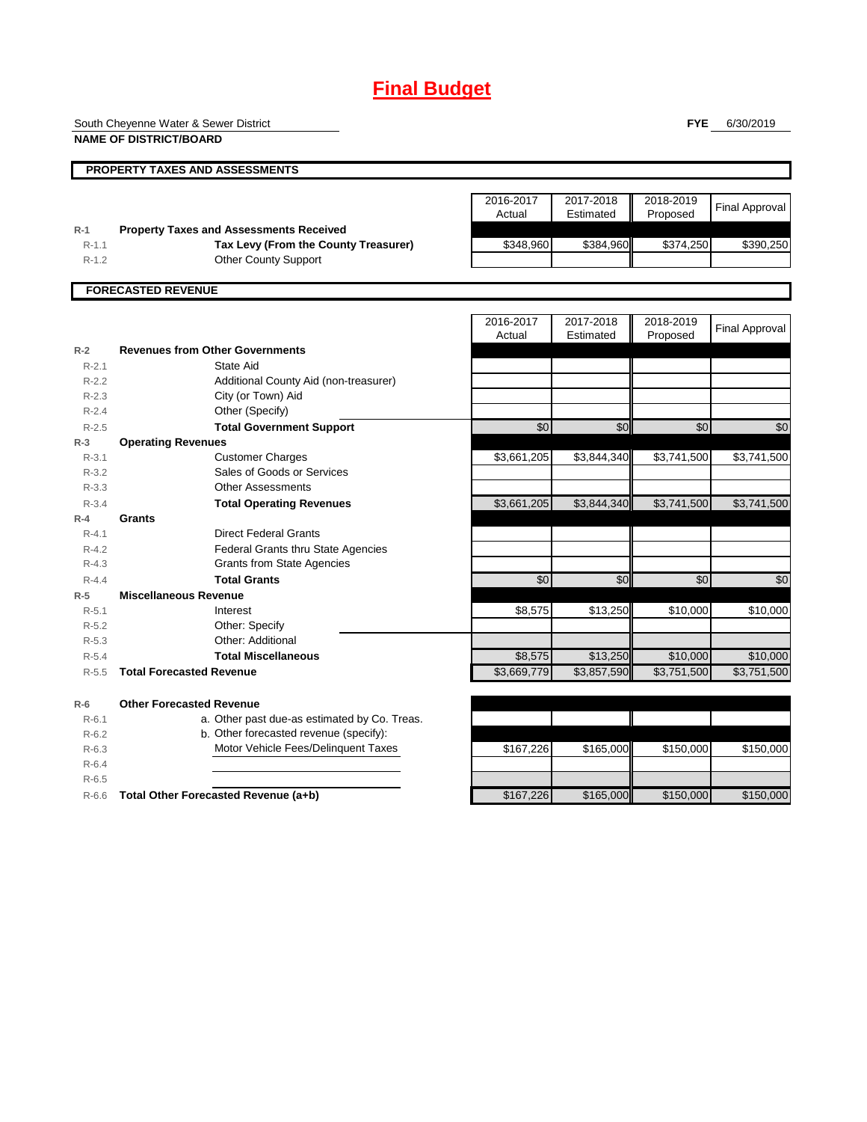# **Final Budget**

South Cheyenne Water & Sewer District

**NAME OF DISTRICT/BOARD**

**FYE** 6/30/2019

|                  | <b>PROPERTY TAXES AND ASSESSMENTS</b>                                                  |                     |                        |                       |                       |
|------------------|----------------------------------------------------------------------------------------|---------------------|------------------------|-----------------------|-----------------------|
|                  |                                                                                        | 2016-2017<br>Actual | 2017-2018<br>Estimated | 2018-2019<br>Proposed | <b>Final Approval</b> |
| $R-1$<br>$R-1.1$ | <b>Property Taxes and Assessments Received</b><br>Tax Levy (From the County Treasurer) | \$348,960           | \$384,960              | \$374,250             | \$390,250             |
| $R-1.2$          | <b>Other County Support</b>                                                            |                     |                        |                       |                       |
|                  |                                                                                        |                     |                        |                       |                       |
|                  | <b>FORECASTED REVENUE</b>                                                              |                     |                        |                       |                       |
|                  |                                                                                        | 2016-2017<br>Actual | 2017-2018<br>Estimated | 2018-2019<br>Proposed | <b>Final Approval</b> |
| $R-2$            | <b>Revenues from Other Governments</b>                                                 |                     |                        |                       |                       |
| $R - 2.1$        | State Aid                                                                              |                     |                        |                       |                       |
| $R-2.2$          | Additional County Aid (non-treasurer)                                                  |                     |                        |                       |                       |
| $R - 2.3$        | City (or Town) Aid                                                                     |                     |                        |                       |                       |
| $R - 2.4$        | Other (Specify)                                                                        |                     |                        |                       |                       |
| $R-2.5$          | <b>Total Government Support</b>                                                        | \$0                 | \$0                    | \$0                   | \$0                   |
| $R-3$            | <b>Operating Revenues</b>                                                              |                     |                        |                       |                       |
| $R - 3.1$        | <b>Customer Charges</b>                                                                | \$3,661,205         | \$3,844,340            | \$3,741,500           | \$3,741,500           |
| $R-3.2$          | Sales of Goods or Services                                                             |                     |                        |                       |                       |
| $R - 3.3$        | <b>Other Assessments</b>                                                               |                     |                        |                       |                       |
| $R - 3.4$        | <b>Total Operating Revenues</b>                                                        | \$3,661,205         | \$3,844,340            | \$3,741,500           | \$3,741,500           |
| $R-4$            | Grants                                                                                 |                     |                        |                       |                       |
| $R - 4.1$        | <b>Direct Federal Grants</b>                                                           |                     |                        |                       |                       |
| $R - 4.2$        | <b>Federal Grants thru State Agencies</b>                                              |                     |                        |                       |                       |
| $R - 4.3$        | <b>Grants from State Agencies</b>                                                      |                     |                        |                       |                       |
| $R - 4.4$        | <b>Total Grants</b>                                                                    | \$0                 | \$0                    | \$0                   | \$0                   |
| $R-5$            | <b>Miscellaneous Revenue</b>                                                           |                     |                        |                       |                       |
| $R - 5.1$        | Interest                                                                               | \$8,575             | \$13,250               | \$10,000              | \$10,000              |
| $R - 5.2$        | Other: Specify                                                                         |                     |                        |                       |                       |
| $R - 5.3$        | Other: Additional                                                                      |                     |                        |                       |                       |
| $R-5.4$          | <b>Total Miscellaneous</b>                                                             | \$8,575             | \$13,250               | \$10,000              | \$10,000              |
| $R - 5.5$        | <b>Total Forecasted Revenue</b>                                                        | \$3,669,779         | \$3,857,590            | \$3,751,500           | \$3,751,500           |
| $R-6$            | <b>Other Forecasted Revenue</b>                                                        |                     |                        |                       |                       |
| $R - 6.1$        | a. Other past due-as estimated by Co. Treas.                                           |                     |                        |                       |                       |
| $R-6.2$          | b. Other forecasted revenue (specify):                                                 |                     |                        |                       |                       |
| $R-6.3$          | Motor Vehicle Fees/Delinquent Taxes                                                    | \$167,226           | \$165,000              | \$150,000             | \$150,000             |
| $R-6.4$          |                                                                                        |                     |                        |                       |                       |
| $R-6.5$          |                                                                                        |                     |                        |                       |                       |
| $R-6.6$          | Total Other Forecasted Revenue (a+b)                                                   | \$167,226           | \$165,000              | \$150,000             | \$150,000             |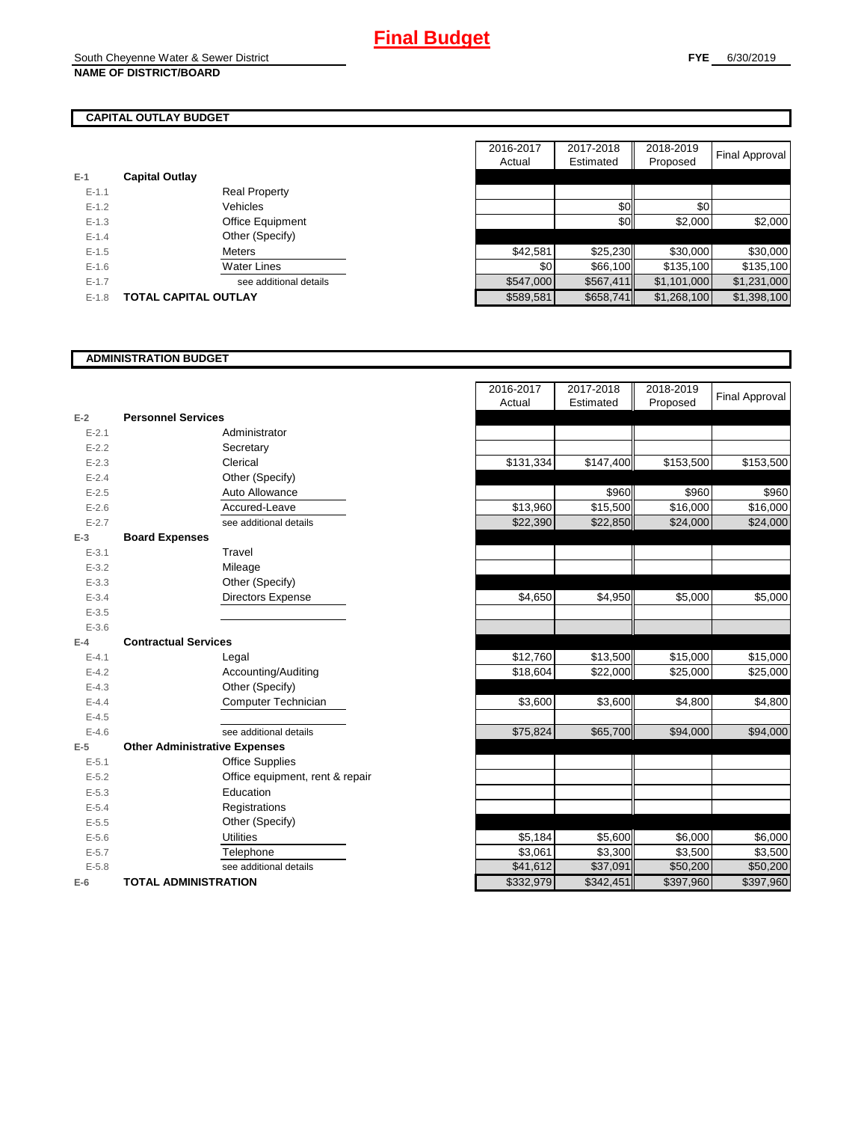# **CAPITAL OUTLAY BUDGET**

| E-1       | <b>Capital Outlay</b> |                         |
|-----------|-----------------------|-------------------------|
| $E - 1.1$ |                       | <b>Real Property</b>    |
| $F-12$    |                       | Vehicles                |
| $F-1.3$   |                       | <b>Office Equipment</b> |
| $F-14$    |                       | Other (Specify)         |
| $F-1.5$   |                       | <b>Meters</b>           |
| $F-16$    |                       | <b>Water Lines</b>      |
| $E - 1.7$ |                       | see additional details  |
| $F-1.8$   | TOTAL CAPITAL OUTLAY  |                         |

|           |                             |                        | 2016-2017 | 2017-2018 | 2018-2019   |                |
|-----------|-----------------------------|------------------------|-----------|-----------|-------------|----------------|
|           |                             |                        | Actual    | Estimated | Proposed    | Final Approval |
|           | <b>Capital Outlay</b>       |                        |           |           |             |                |
| $E - 1.1$ |                             | <b>Real Property</b>   |           |           |             |                |
| $E - 1.2$ |                             | Vehicles               |           | \$0       | \$0         |                |
| $E-1.3$   |                             | Office Equipment       |           | \$0       | \$2,000     | \$2,000        |
| $E - 1.4$ |                             | Other (Specify)        |           |           |             |                |
| $E-1.5$   |                             | Meters                 | \$42,581  | \$25,230  | \$30,000    | \$30,000       |
| $E - 1.6$ |                             | <b>Water Lines</b>     | \$0       | \$66,100  | \$135,100   | \$135,100      |
| $E - 1.7$ |                             | see additional details | \$547,000 | \$567,411 | \$1,101,000 | \$1,231,000    |
| $E-1.8$   | <b>TOTAL CAPITAL OUTLAY</b> |                        | \$589,581 | \$658,741 | \$1,268,100 | \$1,398,100    |

### **ADMINISTRATION BUDGET**

| $E-2$     | <b>Personnel Services</b>            |                                 |
|-----------|--------------------------------------|---------------------------------|
| $E - 2.1$ |                                      | Administrator                   |
| $E - 2.2$ |                                      | Secretary                       |
| $E - 2.3$ |                                      | Clerical                        |
| $E - 2.4$ |                                      | Other (Specify)                 |
| $E - 2.5$ |                                      | Auto Allowance                  |
| $E - 2.6$ |                                      | Accured-Leave                   |
| $E - 2.7$ |                                      | see additional details          |
| $E-3$     | <b>Board Expenses</b>                |                                 |
| $E - 3.1$ |                                      | Travel                          |
| $E - 3.2$ |                                      | Mileage                         |
| $E - 3.3$ |                                      | Other (Specify)                 |
| $E - 3.4$ |                                      | Directors Expense               |
| $E - 3.5$ |                                      |                                 |
| $E - 3.6$ |                                      |                                 |
| $E-4$     | <b>Contractual Services</b>          |                                 |
| $E - 4.1$ |                                      | Legal                           |
| $E - 4.2$ |                                      | Accounting/Auditing             |
| $E - 4.3$ |                                      | Other (Specify)                 |
| $E - 4.4$ |                                      | Computer Technician             |
| $E - 4.5$ |                                      |                                 |
| $E - 4.6$ |                                      | see additional details          |
| $E-5$     | <b>Other Administrative Expenses</b> |                                 |
| $E - 5.1$ |                                      | <b>Office Supplies</b>          |
| $E - 5.2$ |                                      | Office equipment, rent & repair |
| $E - 5.3$ |                                      | Education                       |
| $E - 5.4$ |                                      | Registrations                   |
| $E - 5.5$ |                                      | Other (Specify)                 |
| $E - 5.6$ |                                      | <b>Utilities</b>                |
| $E - 5.7$ |                                      | Telephone                       |
| $E - 5.8$ |                                      | see additional details          |
| $E-6$     | <b>TOTAL ADMINISTRATION</b>          |                                 |

|           |                                      | 2016-2017<br>Actual | 2017-2018<br>Estimated | 2018-2019<br>Proposed | <b>Final Approval</b> |
|-----------|--------------------------------------|---------------------|------------------------|-----------------------|-----------------------|
| $E-2$     | <b>Personnel Services</b>            |                     |                        |                       |                       |
| $E - 2.1$ | Administrator                        |                     |                        |                       |                       |
| $E - 2.2$ | Secretary                            |                     |                        |                       |                       |
| $E - 2.3$ | Clerical                             | \$131,334           | \$147,400              | \$153,500             | \$153,500             |
| $E - 2.4$ | Other (Specify)                      |                     |                        |                       |                       |
| $E - 2.5$ | Auto Allowance                       |                     | \$960                  | \$960                 | \$960                 |
| $E - 2.6$ | Accured-Leave                        | \$13,960            | \$15,500               | \$16,000              | \$16,000              |
| $E - 2.7$ | see additional details               | \$22,390            | \$22,850               | \$24,000              | \$24,000              |
| $E-3$     | <b>Board Expenses</b>                |                     |                        |                       |                       |
| $E - 3.1$ | Travel                               |                     |                        |                       |                       |
| $E - 3.2$ | Mileage                              |                     |                        |                       |                       |
| $E - 3.3$ | Other (Specify)                      |                     |                        |                       |                       |
| $E - 3.4$ | <b>Directors Expense</b>             | \$4,650             | \$4,950                | \$5,000               | \$5,000               |
| $E - 3.5$ |                                      |                     |                        |                       |                       |
| $E - 3.6$ |                                      |                     |                        |                       |                       |
| $E-4$     | <b>Contractual Services</b>          |                     |                        |                       |                       |
| $E - 4.1$ | Legal                                | \$12,760            | \$13,500               | \$15,000              | \$15,000              |
| $E - 4.2$ | Accounting/Auditing                  | \$18,604            | \$22,000               | \$25,000              | \$25,000              |
| $E - 4.3$ | Other (Specify)                      |                     |                        |                       |                       |
| $E - 4.4$ | Computer Technician                  | \$3,600             | \$3,600                | \$4,800               | \$4,800               |
| $E - 4.5$ |                                      |                     |                        |                       |                       |
| $E-4.6$   | see additional details               | \$75,824            | \$65,700               | \$94,000              | \$94,000              |
| $E-5$     | <b>Other Administrative Expenses</b> |                     |                        |                       |                       |
| $E - 5.1$ | <b>Office Supplies</b>               |                     |                        |                       |                       |
| $E - 5.2$ | Office equipment, rent & repair      |                     |                        |                       |                       |
| $E - 5.3$ | Education                            |                     |                        |                       |                       |
| $E - 5.4$ | Registrations                        |                     |                        |                       |                       |
| $E - 5.5$ | Other (Specify)                      |                     |                        |                       |                       |
| $E - 5.6$ | <b>Utilities</b>                     | \$5,184             | \$5,600                | \$6,000               | \$6,000               |
| $E - 5.7$ | Telephone                            | \$3,061             | \$3,300                | \$3,500               | \$3,500               |
| $E - 5.8$ | see additional details               | \$41,612            | \$37,091               | \$50,200              | \$50,200              |
| $E-6$     | <b>TOTAL ADMINISTRATION</b>          | \$332,979           | \$342,451              | \$397,960             | \$397,960             |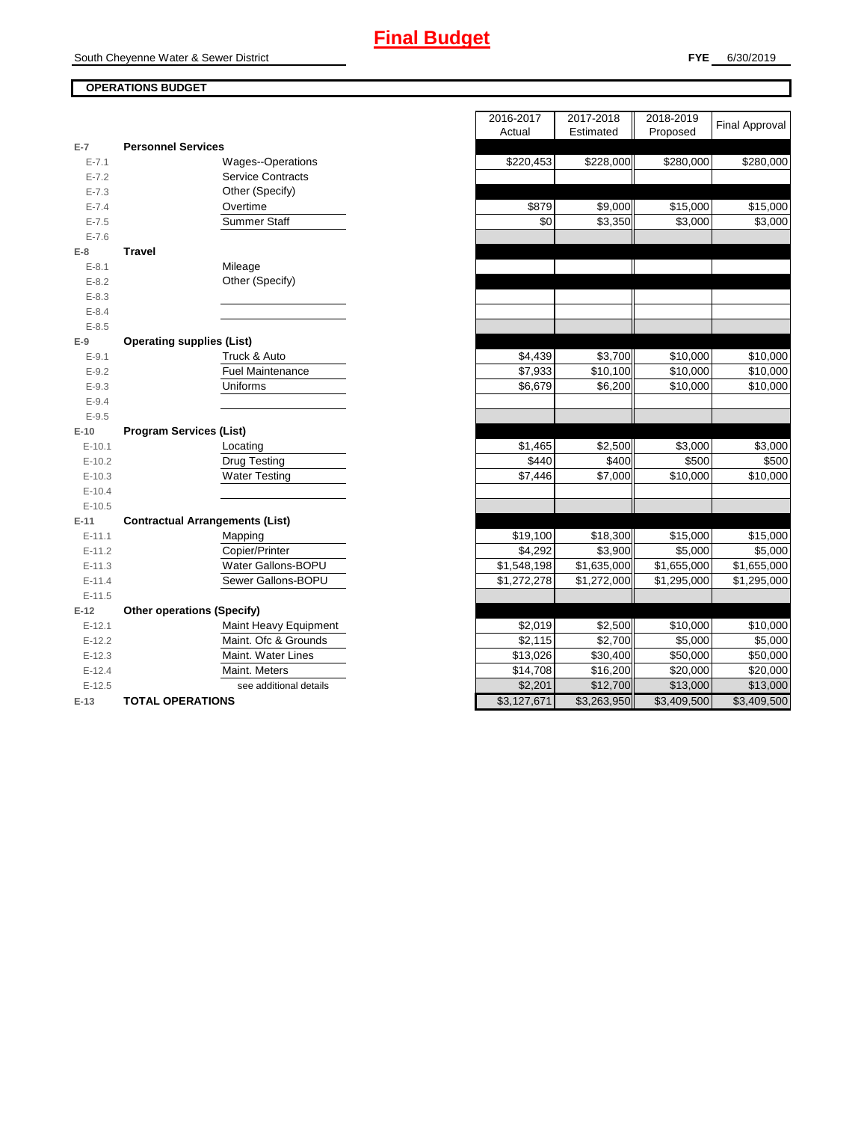## **OPERATIONS BUDGET**

| $E-7$      | <b>Personnel Services</b>              |  |  |  |
|------------|----------------------------------------|--|--|--|
| $E - 7.1$  | Wages--Operations                      |  |  |  |
| $E - 7.2$  | <b>Service Contracts</b>               |  |  |  |
| $E - 7.3$  | Other (Specify)                        |  |  |  |
| $E - 7.4$  | Overtime                               |  |  |  |
| $E - 7.5$  | Summer Staff                           |  |  |  |
| $E - 7.6$  |                                        |  |  |  |
| E-8        | <b>Travel</b>                          |  |  |  |
| $E - 8.1$  | Mileage                                |  |  |  |
| $E - 8.2$  | Other (Specify)                        |  |  |  |
| $E - 8.3$  |                                        |  |  |  |
| $E - 8.4$  |                                        |  |  |  |
| $E - 8.5$  |                                        |  |  |  |
| E-9        | <b>Operating supplies (List)</b>       |  |  |  |
| $E-9.1$    | Truck & Auto                           |  |  |  |
| $E - 9.2$  | <b>Fuel Maintenance</b>                |  |  |  |
| $E - 9.3$  | Uniforms                               |  |  |  |
| $E - 9.4$  |                                        |  |  |  |
| $E - 9.5$  |                                        |  |  |  |
| $E-10$     | <b>Program Services (List)</b>         |  |  |  |
| $E-10.1$   | Locating                               |  |  |  |
| $E-10.2$   | <b>Drug Testing</b>                    |  |  |  |
| $E-10.3$   | <b>Water Testing</b>                   |  |  |  |
| $E-10.4$   |                                        |  |  |  |
| $E-10.5$   |                                        |  |  |  |
| $E-11$     | <b>Contractual Arrangements (List)</b> |  |  |  |
| $E - 11.1$ |                                        |  |  |  |
|            | Mapping                                |  |  |  |
| $E-11.2$   | Copier/Printer                         |  |  |  |
| $E-11.3$   | <b>Water Gallons-BOPU</b>              |  |  |  |
| $E-11.4$   | Sewer Gallons-BOPU                     |  |  |  |
| $E-11.5$   |                                        |  |  |  |
| $E-12$     | <b>Other operations (Specify)</b>      |  |  |  |
| $E-12.1$   | Maint Heavy Equipment                  |  |  |  |
| $E-12.2$   | Maint. Ofc & Grounds                   |  |  |  |
| $E-12.3$   | Maint. Water Lines                     |  |  |  |
| $E-12.4$   | Maint. Meters                          |  |  |  |
| $E-12.5$   | see additional details                 |  |  |  |

|                |                                        | 2016-2017<br>Actual | 2017-2018<br>Estimated | 2018-2019<br>Proposed | <b>Final Approval</b>   |
|----------------|----------------------------------------|---------------------|------------------------|-----------------------|-------------------------|
| $\overline{7}$ | <b>Personnel Services</b>              |                     |                        |                       |                         |
| $E - 7.1$      | <b>Wages--Operations</b>               | \$220,453           | \$228,000              | \$280,000             | \$280,000               |
| $E - 7.2$      | <b>Service Contracts</b>               |                     |                        |                       |                         |
| $E - 7.3$      | Other (Specify)                        |                     |                        |                       |                         |
| $E - 7.4$      | Overtime                               | \$879               | \$9,000                | \$15,000              | \$15,000                |
| $E - 7.5$      | <b>Summer Staff</b>                    | \$0                 | \$3,350                | \$3,000               | \$3,000                 |
| $E - 7.6$      |                                        |                     |                        |                       |                         |
| 8              | <b>Travel</b>                          |                     |                        |                       |                         |
| $E - 8.1$      | Mileage                                |                     |                        |                       |                         |
| $E - 8.2$      | Other (Specify)                        |                     |                        |                       |                         |
| $E - 8.3$      |                                        |                     |                        |                       |                         |
| $E - 8.4$      |                                        |                     |                        |                       |                         |
| $E - 8.5$      |                                        |                     |                        |                       |                         |
| 9              | <b>Operating supplies (List)</b>       |                     |                        |                       |                         |
| $E - 9.1$      | Truck & Auto                           | \$4,439             | \$3,700                | \$10,000              | \$10,000                |
| $E - 9.2$      | Fuel Maintenance                       | \$7,933             | \$10,100               | \$10,000              | \$10,000                |
| $E - 9.3$      | Uniforms                               | \$6,679             | \$6,200                | \$10,000              | \$10,000                |
| $E - 9.4$      |                                        |                     |                        |                       |                         |
| $E - 9.5$      |                                        |                     |                        |                       |                         |
| 10             | <b>Program Services (List)</b>         |                     |                        |                       |                         |
| $E-10.1$       | Locating                               | \$1,465             | \$2,500                | \$3,000               | \$3,000                 |
| $E-10.2$       | <b>Drug Testing</b>                    | \$440               | \$400                  | \$500                 | \$500                   |
| $E-10.3$       | <b>Water Testing</b>                   | \$7,446             | \$7,000                | \$10,000              | \$10,000                |
| $E-10.4$       |                                        |                     |                        |                       |                         |
| $E-10.5$       |                                        |                     |                        |                       |                         |
| $11 -$         | <b>Contractual Arrangements (List)</b> |                     |                        |                       |                         |
| $E-11.1$       | Mapping                                | \$19,100            | \$18,300               | \$15,000              | \$15,000                |
| $E-11.2$       | Copier/Printer                         | \$4,292             | \$3,900                | \$5,000               | \$5,000                 |
| $E-11.3$       | Water Gallons-BOPU                     | \$1,548,198         | \$1,635,000            | \$1,655,000           | \$1,655,000             |
| $E-11.4$       | Sewer Gallons-BOPU                     | \$1,272,278         | \$1,272,000            | \$1,295,000           | \$1,295,000             |
| $E-11.5$       |                                        |                     |                        |                       |                         |
| 12             | <b>Other operations (Specify)</b>      |                     |                        |                       |                         |
| $E-12.1$       | Maint Heavy Equipment                  | \$2,019             | \$2,500                | \$10,000              | \$10,000                |
| $E-12.2$       | Maint. Ofc & Grounds                   | \$2,115             | \$2,700                | \$5,000               | \$5,000                 |
| $E-12.3$       | Maint. Water Lines                     | \$13,026            | \$30,400               | \$50,000              | \$50,000                |
| $E-12.4$       | Maint. Meters                          | \$14,708            | \$16,200               | \$20,000              | \$20,000                |
| $E-12.5$       | see additional details                 | \$2,201             | \$12,700               | \$13,000              | \$13,000                |
| $-13$          | <b>TOTAL OPERATIONS</b>                | \$3,127,671         | \$3,263,950            | \$3,409,500           | $\overline{33,409,500}$ |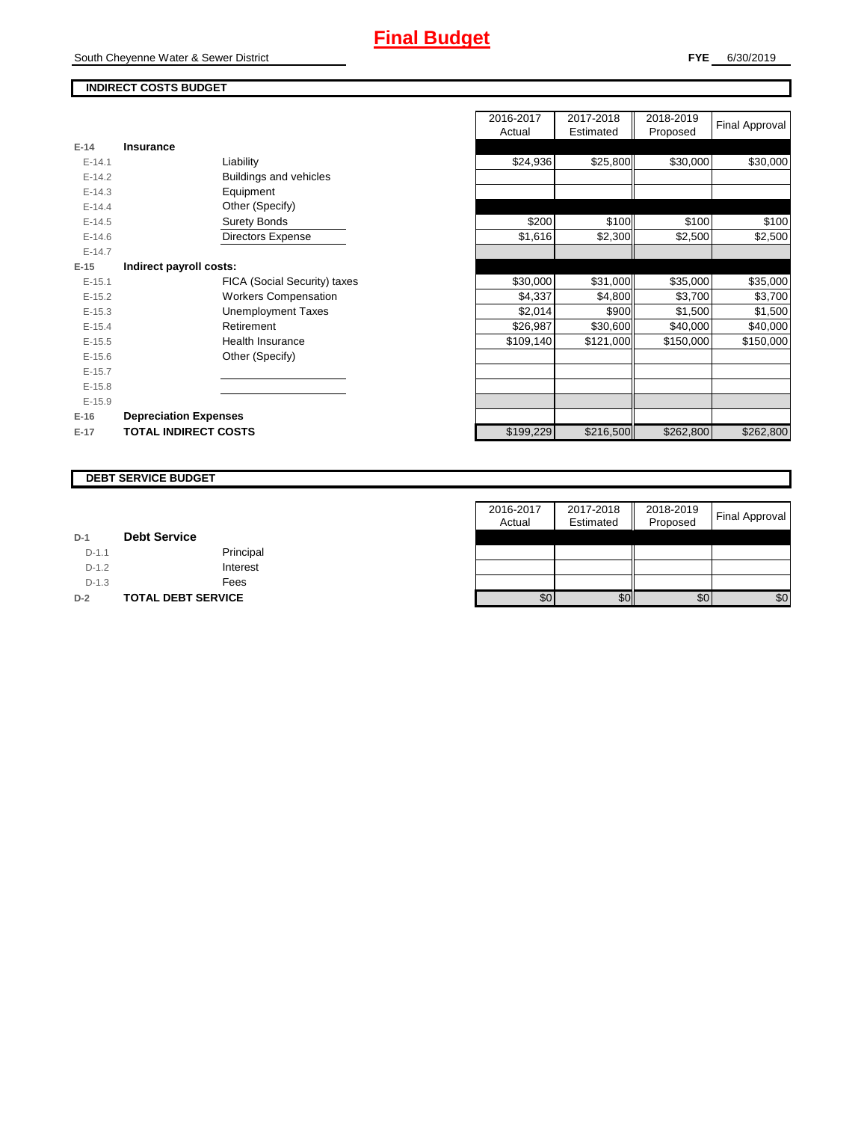## **INDIRECT COSTS BUDGET**

| E-14       | Insurance                    |
|------------|------------------------------|
| $F-141$    | Liability                    |
| $F-142$    | Buildings and vehicles       |
| $E-14.3$   | Equipment                    |
| $F-144$    | Other (Specify)              |
| $F-14.5$   | <b>Surety Bonds</b>          |
| $F-146$    | <b>Directors Expense</b>     |
| $F-147$    |                              |
| $E-15$     | Indirect payroll costs:      |
| $E - 15.1$ | FICA (Social Security) taxes |
| $E-15.2$   | Workers Compensation         |
| $E-15.3$   | Unemployment Taxes           |
| $F-154$    | Retirement                   |
| $E-15.5$   | Health Insurance             |
| $E - 15.6$ | Other (Specify)              |
| $E-15.7$   |                              |
| $E-15.8$   |                              |
| $E-15.9$   |                              |
| $E-16$     | <b>Depreciation Expenses</b> |
| $E-17$     | <b>TOTAL INDIRECT COSTS</b>  |

|          |                              | 2016-2017<br>Actual | 2017-2018<br>Estimated | 2018-2019<br>Proposed | Final Approval |
|----------|------------------------------|---------------------|------------------------|-----------------------|----------------|
| $E-14$   | <b>Insurance</b>             |                     |                        |                       |                |
| $E-14.1$ | Liability                    | \$24,936            | \$25,800               | \$30,000              | \$30,000       |
| $E-14.2$ | Buildings and vehicles       |                     |                        |                       |                |
| $E-14.3$ | Equipment                    |                     |                        |                       |                |
| $E-14.4$ | Other (Specify)              |                     |                        |                       |                |
| $E-14.5$ | <b>Surety Bonds</b>          | \$200               | \$100                  | \$100                 | \$100          |
| $E-14.6$ | <b>Directors Expense</b>     | \$1,616             | \$2,300                | \$2,500               | \$2,500        |
| $E-14.7$ |                              |                     |                        |                       |                |
| $E-15$   | Indirect payroll costs:      |                     |                        |                       |                |
| $E-15.1$ | FICA (Social Security) taxes | \$30,000            | \$31,000               | \$35,000              | \$35,000       |
| $E-15.2$ | <b>Workers Compensation</b>  | \$4,337             | \$4,800                | \$3,700               | \$3,700        |
| $E-15.3$ | <b>Unemployment Taxes</b>    | \$2,014             | \$900                  | \$1,500               | \$1,500        |
| $E-15.4$ | Retirement                   | \$26,987            | \$30,600               | \$40,000              | \$40,000       |
| $E-15.5$ | Health Insurance             | \$109,140           | \$121,000              | \$150,000             | \$150,000      |
| $E-15.6$ | Other (Specify)              |                     |                        |                       |                |
| $E-15.7$ |                              |                     |                        |                       |                |
| $E-15.8$ |                              |                     |                        |                       |                |
| $E-15.9$ |                              |                     |                        |                       |                |
| $E-16$   | <b>Depreciation Expenses</b> |                     |                        |                       |                |
| $E-17$   | <b>TOTAL INDIRECT COSTS</b>  | \$199,229           | \$216,500              | \$262,800             | \$262,800      |
|          |                              |                     |                        |                       |                |

#### **DEBT SERVICE BUDGET**

|         |                           | 2016-2017 | 2017-2018 | 2018-2019 |                       |
|---------|---------------------------|-----------|-----------|-----------|-----------------------|
|         |                           | Actual    | Estimated | Proposed  | <b>Final Approval</b> |
| $D-1$   | <b>Debt Service</b>       |           |           |           |                       |
| $D-1.1$ | Principal                 |           |           |           |                       |
| $D-1.2$ | Interest                  |           |           |           |                       |
| $D-1.3$ | Fees                      |           |           |           |                       |
| $D-2$   | <b>TOTAL DEBT SERVICE</b> | \$0       | \$0       | \$0       | \$0                   |